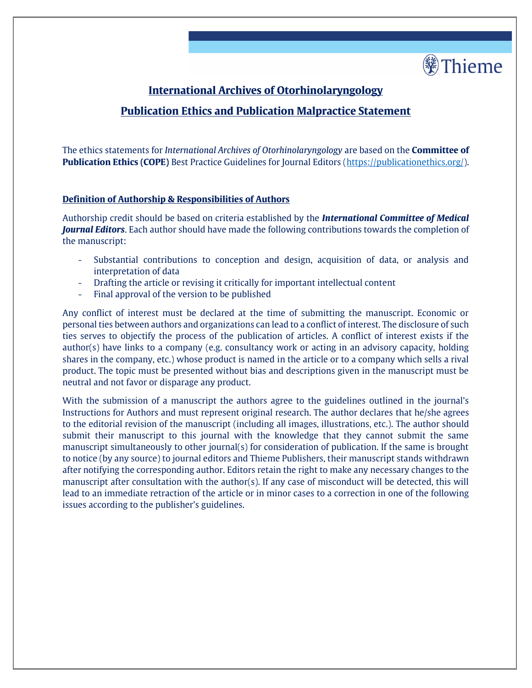

# **International Archives of Otorhinolaryngology**

# **Publication Ethics and Publication Malpractice Statement**

The ethics statements for *International Archives of Otorhinolaryngology* are based on the **Committee of Publication Ethics (COPE)** Best Practice Guidelines for Journal Editors [\(https://publicationethics.org/\)](https://publicationethics.org/).

## **Definition of Authorship & Responsibilities of Authors**

Authorship credit should be based on criteria established by the *International Committee of Medical Journal Editors*. Each author should have made the following contributions towards the completion of the manuscript:

- Substantial contributions to conception and design, acquisition of data, or analysis and interpretation of data
- Drafting the article or revising it critically for important intellectual content
- Final approval of the version to be published

Any conflict of interest must be declared at the time of submitting the manuscript. Economic or personal ties between authors and organizations can lead to a conflict of interest. The disclosure of such ties serves to objectify the process of the publication of articles. A conflict of interest exists if the author(s) have links to a company (e.g. consultancy work or acting in an advisory capacity, holding shares in the company, etc.) whose product is named in the article or to a company which sells a rival product. The topic must be presented without bias and descriptions given in the manuscript must be neutral and not favor or disparage any product.

With the submission of a manuscript the authors agree to the guidelines outlined in the journal's Instructions for Authors and must represent original research. The author declares that he/she agrees to the editorial revision of the manuscript (including all images, illustrations, etc.). The author should submit their manuscript to this journal with the knowledge that they cannot submit the same manuscript simultaneously to other journal(s) for consideration of publication. If the same is brought to notice (by any source) to journal editors and Thieme Publishers, their manuscript stands withdrawn after notifying the corresponding author. Editors retain the right to make any necessary changes to the manuscript after consultation with the author(s). If any case of misconduct will be detected, this will lead to an immediate retraction of the article or in minor cases to a correction in one of the following issues according to the publisher's guidelines.